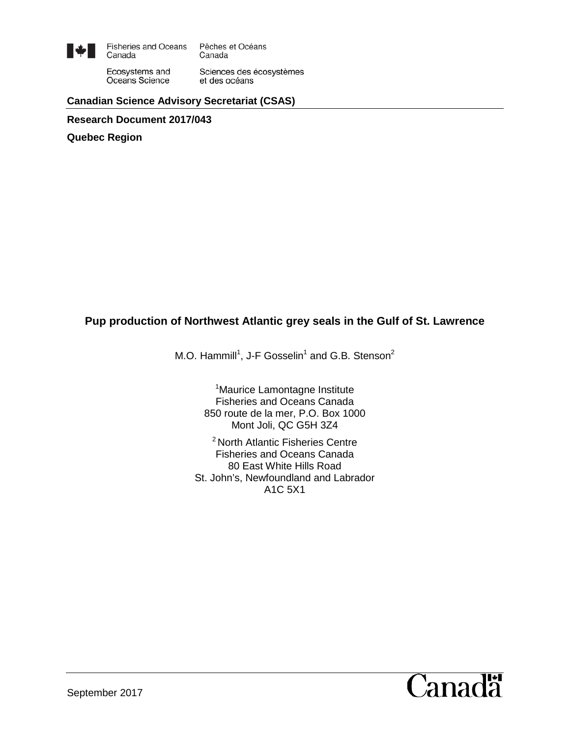

**Fisheries and Oceans** Pêches et Océans Canada Canada

Ecosystems and Sciences des écosystèmes Oceans Science et des océans

**Canadian Science Advisory Secretariat (CSAS)**

**Research Document 2017/043**

**Quebec Region**

### **Pup production of Northwest Atlantic grey seals in the Gulf of St. Lawrence**

M.O. Hammill<sup>1</sup>, J-F Gosselin<sup>1</sup> and G.B. Stenson<sup>2</sup>

<sup>1</sup>Maurice Lamontagne Institute Fisheries and Oceans Canada 850 route de la mer, P.O. Box 1000 Mont Joli, QC G5H 3Z4

2 North Atlantic Fisheries Centre Fisheries and Oceans Canada 80 East White Hills Road St. John's, Newfoundland and Labrador A1C 5X1

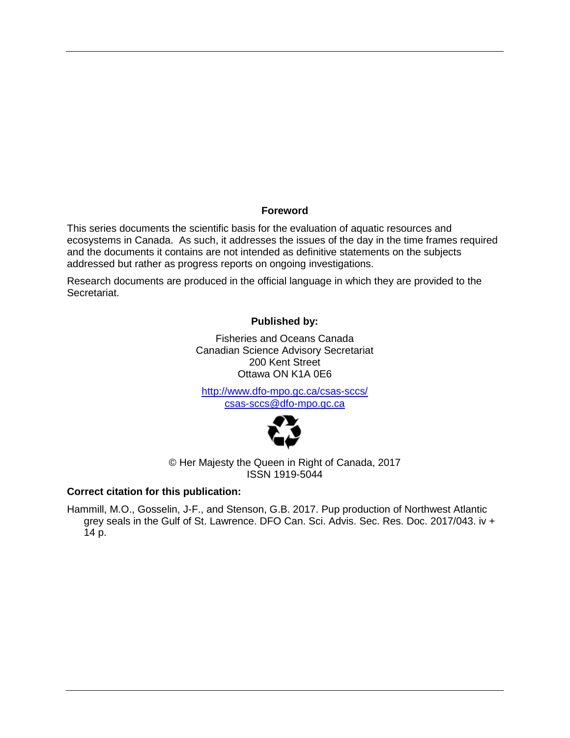#### **Foreword**

This series documents the scientific basis for the evaluation of aquatic resources and ecosystems in Canada. As such, it addresses the issues of the day in the time frames required and the documents it contains are not intended as definitive statements on the subjects addressed but rather as progress reports on ongoing investigations.

Research documents are produced in the official language in which they are provided to the Secretariat.

#### **Published by:**

Fisheries and Oceans Canada Canadian Science Advisory Secretariat 200 Kent Street Ottawa ON K1A 0E6

<http://www.dfo-mpo.gc.ca/csas-sccs/> [csas-sccs@dfo-mpo.gc.ca](mailto:csas-sccs@dfo-mpo.gc.ca)



© Her Majesty the Queen in Right of Canada, 2017 ISSN 1919-5044

#### **Correct citation for this publication:**

Hammill, M.O., Gosselin, J-F., and Stenson, G.B. 2017. Pup production of Northwest Atlantic grey seals in the Gulf of St. Lawrence. DFO Can. Sci. Advis. Sec. Res. Doc. 2017/043. iv + 14 p.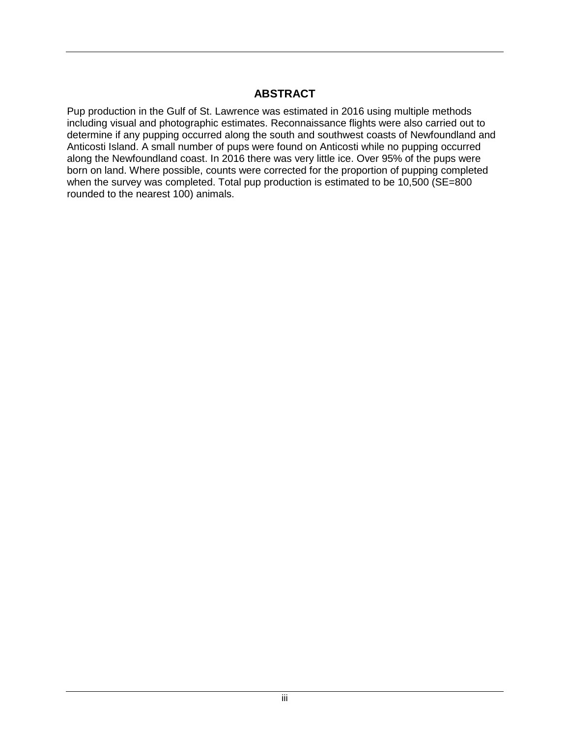## **ABSTRACT**

Pup production in the Gulf of St. Lawrence was estimated in 2016 using multiple methods including visual and photographic estimates. Reconnaissance flights were also carried out to determine if any pupping occurred along the south and southwest coasts of Newfoundland and Anticosti Island. A small number of pups were found on Anticosti while no pupping occurred along the Newfoundland coast. In 2016 there was very little ice. Over 95% of the pups were born on land. Where possible, counts were corrected for the proportion of pupping completed when the survey was completed. Total pup production is estimated to be 10,500 (SE=800 rounded to the nearest 100) animals.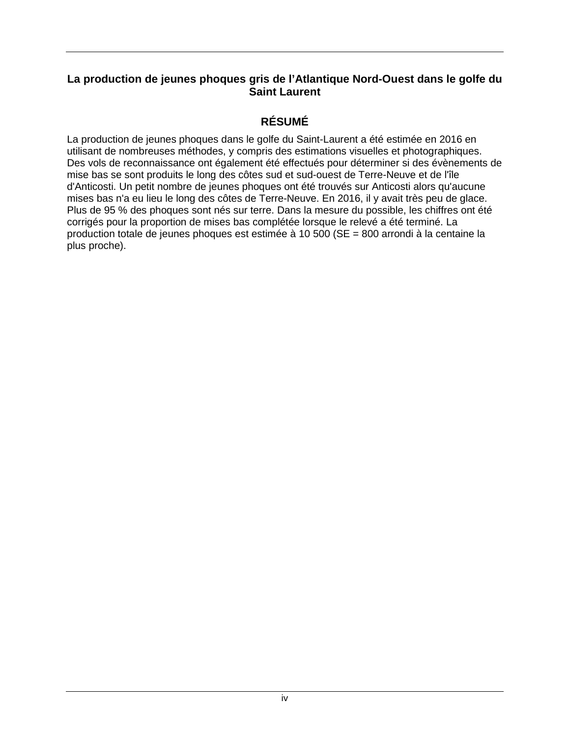### **La production de jeunes phoques gris de l'Atlantique Nord-Ouest dans le golfe du Saint Laurent**

### **RÉSUMÉ**

La production de jeunes phoques dans le golfe du Saint-Laurent a été estimée en 2016 en utilisant de nombreuses méthodes, y compris des estimations visuelles et photographiques. Des vols de reconnaissance ont également été effectués pour déterminer si des évènements de mise bas se sont produits le long des côtes sud et sud-ouest de Terre-Neuve et de l'île d'Anticosti. Un petit nombre de jeunes phoques ont été trouvés sur Anticosti alors qu'aucune mises bas n'a eu lieu le long des côtes de Terre-Neuve. En 2016, il y avait très peu de glace. Plus de 95 % des phoques sont nés sur terre. Dans la mesure du possible, les chiffres ont été corrigés pour la proportion de mises bas complétée lorsque le relevé a été terminé. La production totale de jeunes phoques est estimée à 10 500 (SE = 800 arrondi à la centaine la plus proche).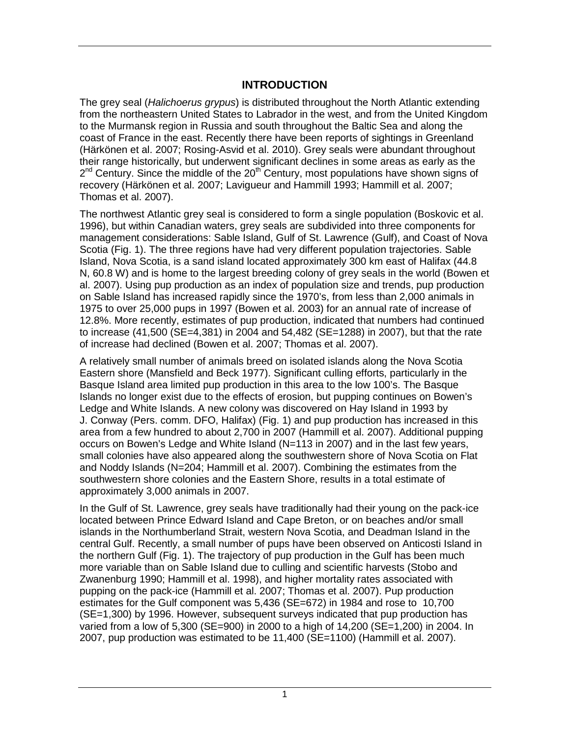### **INTRODUCTION**

The grey seal (*Halichoerus grypus*) is distributed throughout the North Atlantic extending from the northeastern United States to Labrador in the west, and from the United Kingdom to the Murmansk region in Russia and south throughout the Baltic Sea and along the coast of France in the east. Recently there have been reports of sightings in Greenland (Härkönen et al. 2007; Rosing-Asvid et al. 2010). Grey seals were abundant throughout their range historically, but underwent significant declines in some areas as early as the  $2^{nd}$  Century. Since the middle of the  $20^{th}$  Century, most populations have shown signs of recovery (Härkönen et al. 2007; Lavigueur and Hammill 1993; Hammill et al. 2007; Thomas et al. 2007).

The northwest Atlantic grey seal is considered to form a single population (Boskovic et al. 1996), but within Canadian waters, grey seals are subdivided into three components for management considerations: Sable Island, Gulf of St. Lawrence (Gulf), and Coast of Nova Scotia (Fig. 1). The three regions have had very different population trajectories. Sable Island, Nova Scotia, is a sand island located approximately 300 km east of Halifax (44.8 N, 60.8 W) and is home to the largest breeding colony of grey seals in the world (Bowen et al. 2007). Using pup production as an index of population size and trends, pup production on Sable Island has increased rapidly since the 1970's, from less than 2,000 animals in 1975 to over 25,000 pups in 1997 (Bowen et al. 2003) for an annual rate of increase of 12.8%. More recently, estimates of pup production, indicated that numbers had continued to increase (41,500 (SE=4,381) in 2004 and 54,482 (SE=1288) in 2007), but that the rate of increase had declined (Bowen et al. 2007; Thomas et al. 2007).

A relatively small number of animals breed on isolated islands along the Nova Scotia Eastern shore (Mansfield and Beck 1977). Significant culling efforts, particularly in the Basque Island area limited pup production in this area to the low 100's. The Basque Islands no longer exist due to the effects of erosion, but pupping continues on Bowen's Ledge and White Islands. A new colony was discovered on Hay Island in 1993 by J. Conway (Pers. comm. DFO, Halifax) (Fig. 1) and pup production has increased in this area from a few hundred to about 2,700 in 2007 (Hammill et al. 2007). Additional pupping occurs on Bowen's Ledge and White Island (N=113 in 2007) and in the last few years, small colonies have also appeared along the southwestern shore of Nova Scotia on Flat and Noddy Islands (N=204; Hammill et al. 2007). Combining the estimates from the southwestern shore colonies and the Eastern Shore, results in a total estimate of approximately 3,000 animals in 2007.

In the Gulf of St. Lawrence, grey seals have traditionally had their young on the pack-ice located between Prince Edward Island and Cape Breton, or on beaches and/or small islands in the Northumberland Strait, western Nova Scotia, and Deadman Island in the central Gulf. Recently, a small number of pups have been observed on Anticosti Island in the northern Gulf (Fig. 1). The trajectory of pup production in the Gulf has been much more variable than on Sable Island due to culling and scientific harvests (Stobo and Zwanenburg 1990; Hammill et al. 1998), and higher mortality rates associated with pupping on the pack-ice (Hammill et al. 2007; Thomas et al. 2007). Pup production estimates for the Gulf component was 5,436 (SE=672) in 1984 and rose to 10,700 (SE=1,300) by 1996. However, subsequent surveys indicated that pup production has varied from a low of 5,300 (SE=900) in 2000 to a high of 14,200 (SE=1,200) in 2004. In 2007, pup production was estimated to be 11,400 (SE=1100) (Hammill et al. 2007).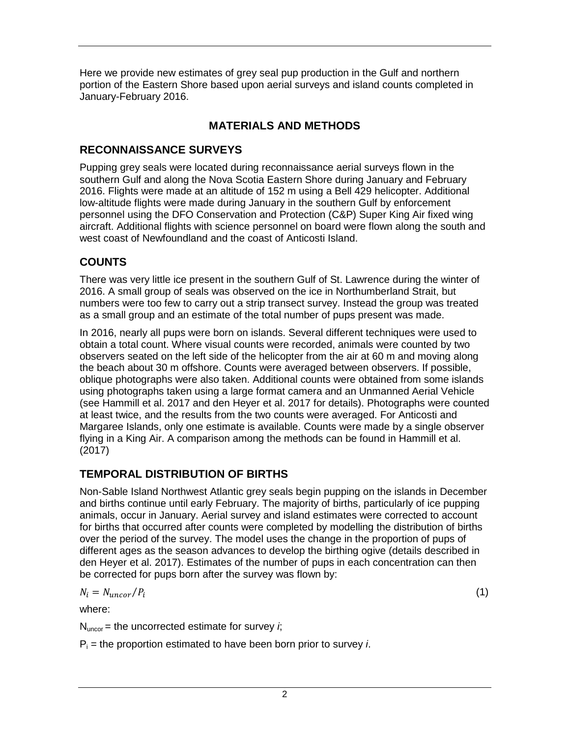Here we provide new estimates of grey seal pup production in the Gulf and northern portion of the Eastern Shore based upon aerial surveys and island counts completed in January-February 2016.

# **MATERIALS AND METHODS**

## **RECONNAISSANCE SURVEYS**

Pupping grey seals were located during reconnaissance aerial surveys flown in the southern Gulf and along the Nova Scotia Eastern Shore during January and February 2016. Flights were made at an altitude of 152 m using a Bell 429 helicopter. Additional low-altitude flights were made during January in the southern Gulf by enforcement personnel using the DFO Conservation and Protection (C&P) Super King Air fixed wing aircraft. Additional flights with science personnel on board were flown along the south and west coast of Newfoundland and the coast of Anticosti Island.

# **COUNTS**

There was very little ice present in the southern Gulf of St. Lawrence during the winter of 2016. A small group of seals was observed on the ice in Northumberland Strait, but numbers were too few to carry out a strip transect survey. Instead the group was treated as a small group and an estimate of the total number of pups present was made.

In 2016, nearly all pups were born on islands. Several different techniques were used to obtain a total count. Where visual counts were recorded, animals were counted by two observers seated on the left side of the helicopter from the air at 60 m and moving along the beach about 30 m offshore. Counts were averaged between observers. If possible, oblique photographs were also taken. Additional counts were obtained from some islands using photographs taken using a large format camera and an Unmanned Aerial Vehicle (see Hammill et al. 2017 and den Heyer et al. 2017 for details). Photographs were counted at least twice, and the results from the two counts were averaged. For Anticosti and Margaree Islands, only one estimate is available. Counts were made by a single observer flying in a King Air. A comparison among the methods can be found in Hammill et al. (2017)

# **TEMPORAL DISTRIBUTION OF BIRTHS**

Non-Sable Island Northwest Atlantic grey seals begin pupping on the islands in December and births continue until early February. The majority of births, particularly of ice pupping animals, occur in January. Aerial survey and island estimates were corrected to account for births that occurred after counts were completed by modelling the distribution of births over the period of the survey. The model uses the change in the proportion of pups of different ages as the season advances to develop the birthing ogive (details described in den Heyer et al. 2017). Estimates of the number of pups in each concentration can then be corrected for pups born after the survey was flown by:

$$
N_i = N_{uncor}/P_i \tag{1}
$$

where:

 $N_{\text{uncor}}$  = the uncorrected estimate for survey *i*;

 $P_i$  = the proportion estimated to have been born prior to survey *i*.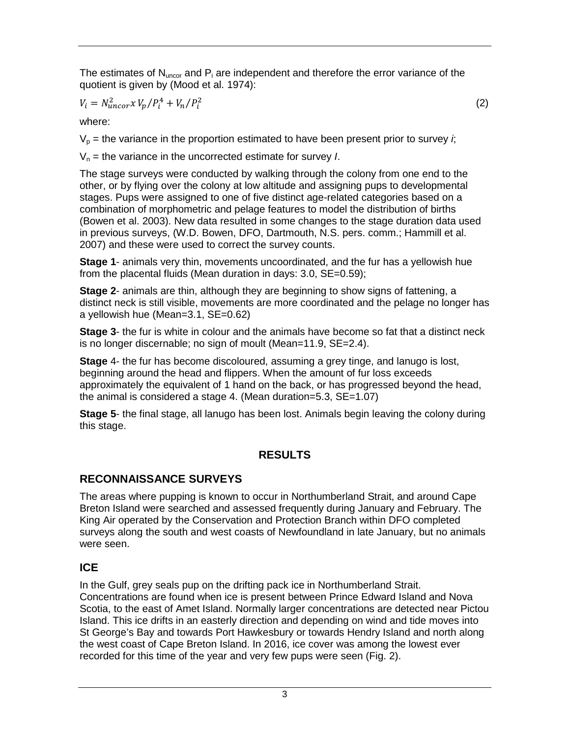The estimates of  $N_{\text{uncor}}$  and  $P_i$  are independent and therefore the error variance of the quotient is given by (Mood et al. 1974):

$$
V_i = N_{uncor}^2 x V_p / P_i^4 + V_n / P_i^2
$$
 (2)

where:

 $V_p$  = the variance in the proportion estimated to have been present prior to survey *i*;

 $V_n$  = the variance in the uncorrected estimate for survey *I*.

The stage surveys were conducted by walking through the colony from one end to the other, or by flying over the colony at low altitude and assigning pups to developmental stages. Pups were assigned to one of five distinct age-related categories based on a combination of morphometric and pelage features to model the distribution of births (Bowen et al. 2003). New data resulted in some changes to the stage duration data used in previous surveys, (W.D. Bowen, DFO, Dartmouth, N.S. pers. comm.; Hammill et al. 2007) and these were used to correct the survey counts.

**Stage 1**- animals very thin, movements uncoordinated, and the fur has a yellowish hue from the placental fluids (Mean duration in days: 3.0, SE=0.59);

**Stage 2**- animals are thin, although they are beginning to show signs of fattening, a distinct neck is still visible, movements are more coordinated and the pelage no longer has a yellowish hue (Mean=3.1, SE=0.62)

**Stage 3**- the fur is white in colour and the animals have become so fat that a distinct neck is no longer discernable; no sign of moult (Mean=11.9, SE=2.4).

**Stage** 4- the fur has become discoloured, assuming a grey tinge, and lanugo is lost, beginning around the head and flippers. When the amount of fur loss exceeds approximately the equivalent of 1 hand on the back, or has progressed beyond the head, the animal is considered a stage 4. (Mean duration=5.3, SE=1.07)

**Stage 5**- the final stage, all lanugo has been lost. Animals begin leaving the colony during this stage.

### **RESULTS**

### **RECONNAISSANCE SURVEYS**

The areas where pupping is known to occur in Northumberland Strait, and around Cape Breton Island were searched and assessed frequently during January and February. The King Air operated by the Conservation and Protection Branch within DFO completed surveys along the south and west coasts of Newfoundland in late January, but no animals were seen.

## **ICE**

In the Gulf, grey seals pup on the drifting pack ice in Northumberland Strait. Concentrations are found when ice is present between Prince Edward Island and Nova Scotia, to the east of Amet Island. Normally larger concentrations are detected near Pictou Island. This ice drifts in an easterly direction and depending on wind and tide moves into St George's Bay and towards Port Hawkesbury or towards Hendry Island and north along the west coast of Cape Breton Island. In 2016, ice cover was among the lowest ever recorded for this time of the year and very few pups were seen (Fig. 2).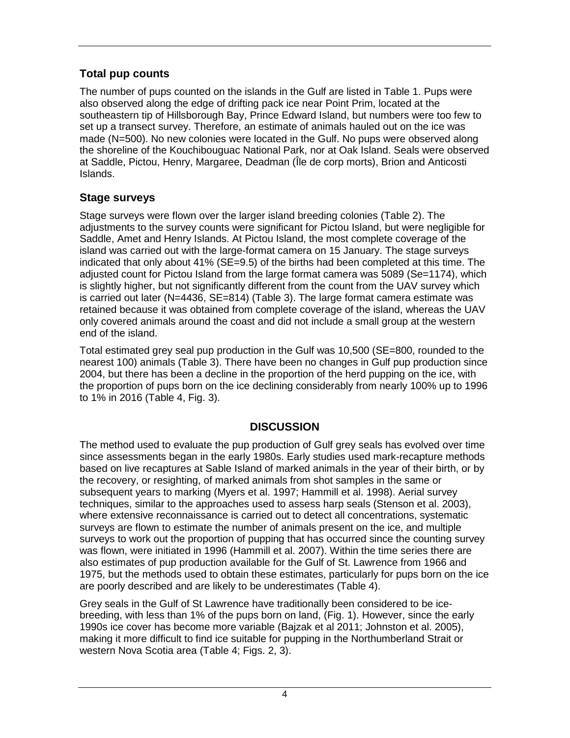# **Total pup counts**

The number of pups counted on the islands in the Gulf are listed in Table 1. Pups were also observed along the edge of drifting pack ice near Point Prim, located at the southeastern tip of Hillsborough Bay, Prince Edward Island, but numbers were too few to set up a transect survey. Therefore, an estimate of animals hauled out on the ice was made (N=500). No new colonies were located in the Gulf. No pups were observed along the shoreline of the Kouchibouguac National Park, nor at Oak Island. Seals were observed at Saddle, Pictou, Henry, Margaree, Deadman (Île de corp morts), Brion and Anticosti Islands.

## **Stage surveys**

Stage surveys were flown over the larger island breeding colonies (Table 2). The adjustments to the survey counts were significant for Pictou Island, but were negligible for Saddle, Amet and Henry Islands. At Pictou Island, the most complete coverage of the island was carried out with the large-format camera on 15 January. The stage surveys indicated that only about 41% (SE=9.5) of the births had been completed at this time. The adjusted count for Pictou Island from the large format camera was 5089 (Se=1174), which is slightly higher, but not significantly different from the count from the UAV survey which is carried out later (N=4436, SE=814) (Table 3). The large format camera estimate was retained because it was obtained from complete coverage of the island, whereas the UAV only covered animals around the coast and did not include a small group at the western end of the island.

Total estimated grey seal pup production in the Gulf was 10,500 (SE=800, rounded to the nearest 100) animals (Table 3). There have been no changes in Gulf pup production since 2004, but there has been a decline in the proportion of the herd pupping on the ice, with the proportion of pups born on the ice declining considerably from nearly 100% up to 1996 to 1% in 2016 (Table 4, Fig. 3).

# **DISCUSSION**

The method used to evaluate the pup production of Gulf grey seals has evolved over time since assessments began in the early 1980s. Early studies used mark-recapture methods based on live recaptures at Sable Island of marked animals in the year of their birth, or by the recovery, or resighting, of marked animals from shot samples in the same or subsequent years to marking (Myers et al. 1997; Hammill et al. 1998). Aerial survey techniques, similar to the approaches used to assess harp seals (Stenson et al. 2003), where extensive reconnaissance is carried out to detect all concentrations, systematic surveys are flown to estimate the number of animals present on the ice, and multiple surveys to work out the proportion of pupping that has occurred since the counting survey was flown, were initiated in 1996 (Hammill et al. 2007). Within the time series there are also estimates of pup production available for the Gulf of St. Lawrence from 1966 and 1975, but the methods used to obtain these estimates, particularly for pups born on the ice are poorly described and are likely to be underestimates (Table 4).

Grey seals in the Gulf of St Lawrence have traditionally been considered to be icebreeding, with less than 1% of the pups born on land, (Fig. 1). However, since the early 1990s ice cover has become more variable (Bajzak et al 2011; Johnston et al. 2005), making it more difficult to find ice suitable for pupping in the Northumberland Strait or western Nova Scotia area (Table 4; Figs. 2, 3).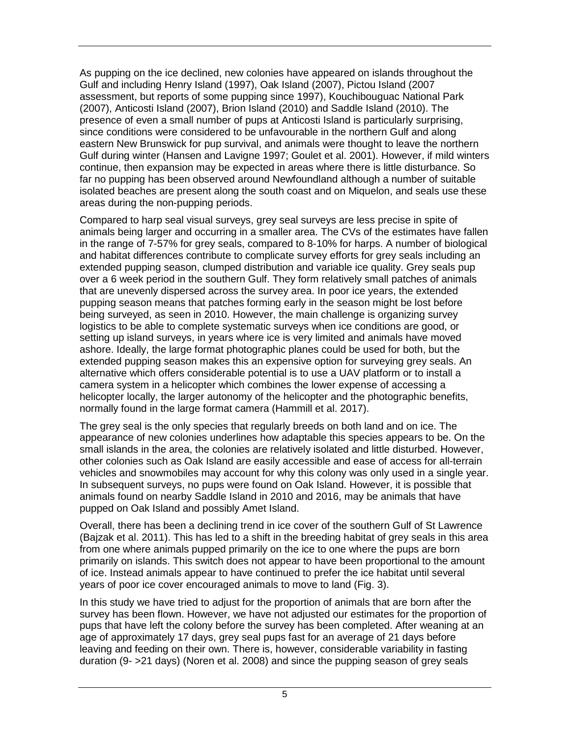As pupping on the ice declined, new colonies have appeared on islands throughout the Gulf and including Henry Island (1997), Oak Island (2007), Pictou Island (2007 assessment, but reports of some pupping since 1997), Kouchibouguac National Park (2007), Anticosti Island (2007), Brion Island (2010) and Saddle Island (2010). The presence of even a small number of pups at Anticosti Island is particularly surprising, since conditions were considered to be unfavourable in the northern Gulf and along eastern New Brunswick for pup survival, and animals were thought to leave the northern Gulf during winter (Hansen and Lavigne 1997; Goulet et al. 2001). However, if mild winters continue, then expansion may be expected in areas where there is little disturbance. So far no pupping has been observed around Newfoundland although a number of suitable isolated beaches are present along the south coast and on Miquelon, and seals use these areas during the non-pupping periods.

Compared to harp seal visual surveys, grey seal surveys are less precise in spite of animals being larger and occurring in a smaller area. The CVs of the estimates have fallen in the range of 7-57% for grey seals, compared to 8-10% for harps. A number of biological and habitat differences contribute to complicate survey efforts for grey seals including an extended pupping season, clumped distribution and variable ice quality. Grey seals pup over a 6 week period in the southern Gulf. They form relatively small patches of animals that are unevenly dispersed across the survey area. In poor ice years, the extended pupping season means that patches forming early in the season might be lost before being surveyed, as seen in 2010. However, the main challenge is organizing survey logistics to be able to complete systematic surveys when ice conditions are good, or setting up island surveys, in years where ice is very limited and animals have moved ashore. Ideally, the large format photographic planes could be used for both, but the extended pupping season makes this an expensive option for surveying grey seals. An alternative which offers considerable potential is to use a UAV platform or to install a camera system in a helicopter which combines the lower expense of accessing a helicopter locally, the larger autonomy of the helicopter and the photographic benefits, normally found in the large format camera (Hammill et al. 2017).

The grey seal is the only species that regularly breeds on both land and on ice. The appearance of new colonies underlines how adaptable this species appears to be. On the small islands in the area, the colonies are relatively isolated and little disturbed. However, other colonies such as Oak Island are easily accessible and ease of access for all-terrain vehicles and snowmobiles may account for why this colony was only used in a single year. In subsequent surveys, no pups were found on Oak Island. However, it is possible that animals found on nearby Saddle Island in 2010 and 2016, may be animals that have pupped on Oak Island and possibly Amet Island.

Overall, there has been a declining trend in ice cover of the southern Gulf of St Lawrence (Bajzak et al. 2011). This has led to a shift in the breeding habitat of grey seals in this area from one where animals pupped primarily on the ice to one where the pups are born primarily on islands. This switch does not appear to have been proportional to the amount of ice. Instead animals appear to have continued to prefer the ice habitat until several years of poor ice cover encouraged animals to move to land (Fig. 3).

In this study we have tried to adjust for the proportion of animals that are born after the survey has been flown. However, we have not adjusted our estimates for the proportion of pups that have left the colony before the survey has been completed. After weaning at an age of approximately 17 days, grey seal pups fast for an average of 21 days before leaving and feeding on their own. There is, however, considerable variability in fasting duration (9- >21 days) (Noren et al. 2008) and since the pupping season of grey seals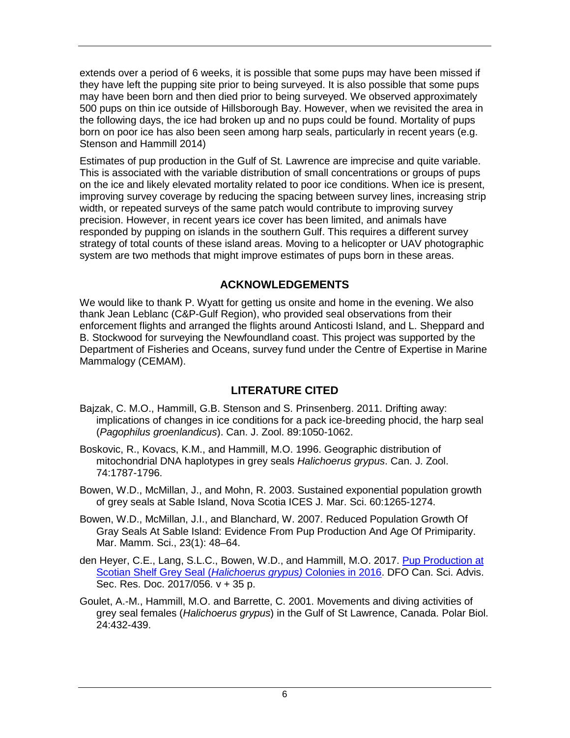extends over a period of 6 weeks, it is possible that some pups may have been missed if they have left the pupping site prior to being surveyed. It is also possible that some pups may have been born and then died prior to being surveyed. We observed approximately 500 pups on thin ice outside of Hillsborough Bay. However, when we revisited the area in the following days, the ice had broken up and no pups could be found. Mortality of pups born on poor ice has also been seen among harp seals, particularly in recent years (e.g. Stenson and Hammill 2014)

Estimates of pup production in the Gulf of St. Lawrence are imprecise and quite variable. This is associated with the variable distribution of small concentrations or groups of pups on the ice and likely elevated mortality related to poor ice conditions. When ice is present, improving survey coverage by reducing the spacing between survey lines, increasing strip width, or repeated surveys of the same patch would contribute to improving survey precision. However, in recent years ice cover has been limited, and animals have responded by pupping on islands in the southern Gulf. This requires a different survey strategy of total counts of these island areas. Moving to a helicopter or UAV photographic system are two methods that might improve estimates of pups born in these areas.

#### **ACKNOWLEDGEMENTS**

We would like to thank P. Wyatt for getting us onsite and home in the evening. We also thank Jean Leblanc (C&P-Gulf Region), who provided seal observations from their enforcement flights and arranged the flights around Anticosti Island, and L. Sheppard and B. Stockwood for surveying the Newfoundland coast. This project was supported by the Department of Fisheries and Oceans, survey fund under the Centre of Expertise in Marine Mammalogy (CEMAM).

### **LITERATURE CITED**

- Bajzak, C. M.O., Hammill, G.B. Stenson and S. Prinsenberg. 2011. Drifting away: implications of changes in ice conditions for a pack ice-breeding phocid, the harp seal (*Pagophilus groenlandicus*). Can. J. Zool. 89:1050-1062.
- Boskovic, R., Kovacs, K.M., and Hammill, M.O. 1996. Geographic distribution of mitochondrial DNA haplotypes in grey seals *Halichoerus grypus*. Can. J. Zool. 74:1787-1796.
- Bowen, W.D., McMillan, J., and Mohn, R. 2003. Sustained exponential population growth of grey seals at Sable Island, Nova Scotia ICES J. Mar. Sci. 60:1265-1274.
- Bowen, W.D., McMillan, J.I., and Blanchard, W. 2007. Reduced Population Growth Of Gray Seals At Sable Island: Evidence From Pup Production And Age Of Primiparity. Mar. Mamm. Sci., 23(1): 48–64.
- den Heyer, C.E., Lang, S.L.C., Bowen, W.D., and Hammill, M.O. 2017. Pup [Production at](http://www.dfo-mpo.gc.ca/csas-sccs/Publications/ResDocs-DocRech/2017/2017_056-eng.html)  [Scotian Shelf Grey Seal \(](http://www.dfo-mpo.gc.ca/csas-sccs/Publications/ResDocs-DocRech/2017/2017_056-eng.html)*Halichoerus grypus)* Colonies in 2016. DFO Can. Sci. Advis. Sec. Res. Doc. 2017/056. v + 35 p.
- Goulet, A.-M., Hammill, M.O. and Barrette, C. 2001. Movements and diving activities of grey seal females (*Halichoerus grypus*) in the Gulf of St Lawrence, Canada. Polar Biol. 24:432-439.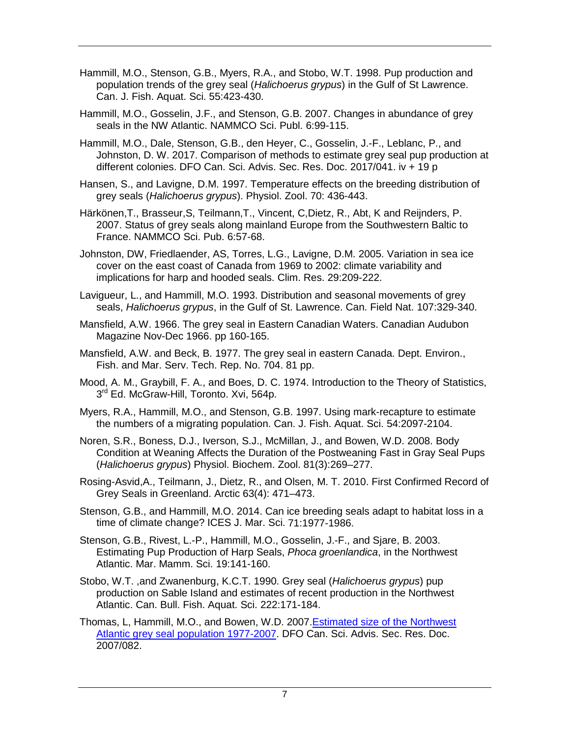- Hammill, M.O., Stenson, G.B., Myers, R.A., and Stobo, W.T. 1998. Pup production and population trends of the grey seal (*Halichoerus grypus*) in the Gulf of St Lawrence. Can. J. Fish. Aquat. Sci. 55:423-430.
- Hammill, M.O., Gosselin, J.F., and Stenson, G.B. 2007. Changes in abundance of grey seals in the NW Atlantic. NAMMCO Sci. Publ. 6:99-115.
- Hammill, M.O., Dale, Stenson, G.B., den Heyer, C., Gosselin, J.-F., Leblanc, P., and Johnston, D. W. 2017. Comparison of methods to estimate grey seal pup production at different colonies. DFO Can. Sci. Advis. Sec. Res. Doc. 2017/041. iv + 19 p
- Hansen, S., and Lavigne, D.M. 1997. Temperature effects on the breeding distribution of grey seals (*Halichoerus grypus*). Physiol. Zool. 70: 436-443.
- Härkönen,T., Brasseur,S, Teilmann,T., Vincent, C,Dietz, R., Abt, K and Reijnders, P. 2007. Status of grey seals along mainland Europe from the Southwestern Baltic to France. NAMMCO Sci. Pub. 6:57-68.
- Johnston, DW, Friedlaender, AS, Torres, L.G., Lavigne, D.M. 2005. Variation in sea ice cover on the east coast of Canada from 1969 to 2002: climate variability and implications for harp and hooded seals. Clim. Res. 29:209-222.
- Lavigueur, L., and Hammill, M.O. 1993. Distribution and seasonal movements of grey seals, *Halichoerus grypus*, in the Gulf of St. Lawrence. Can. Field Nat. 107:329-340.
- Mansfield, A.W. 1966. The grey seal in Eastern Canadian Waters. Canadian Audubon Magazine Nov-Dec 1966. pp 160-165.
- Mansfield, A.W. and Beck, B. 1977. The grey seal in eastern Canada. Dept. Environ., Fish. and Mar. Serv. Tech. Rep. No. 704. 81 pp.
- Mood, A. M., Graybill, F. A., and Boes, D. C. 1974. Introduction to the Theory of Statistics, 3<sup>rd</sup> Ed. McGraw-Hill, Toronto. Xvi, 564p.
- Myers, R.A., Hammill, M.O., and Stenson, G.B. 1997. Using mark-recapture to estimate the numbers of a migrating population. Can. J. Fish. Aquat. Sci. 54:2097-2104.
- Noren, S.R., Boness, D.J., Iverson, S.J., McMillan, J., and Bowen, W.D. 2008. Body Condition at Weaning Affects the Duration of the Postweaning Fast in Gray Seal Pups (*Halichoerus grypus*) Physiol. Biochem. Zool. 81(3):269–277.
- Rosing-Asvid,A., Teilmann, J., Dietz, R., and Olsen, M. T. 2010. First Confirmed Record of Grey Seals in Greenland. Arctic 63(4): 471–473.
- Stenson, G.B., and Hammill, M.O. 2014. Can ice breeding seals adapt to habitat loss in a time of climate change? ICES J. Mar. Sci. 71:1977-1986.
- Stenson, G.B., Rivest, L.-P., Hammill, M.O., Gosselin, J.-F., and Sjare, B. 2003. Estimating Pup Production of Harp Seals, *Phoca groenlandica*, in the Northwest Atlantic. Mar. Mamm. Sci. 19:141-160.
- Stobo, W.T. ,and Zwanenburg, K.C.T. 1990. Grey seal (*Halichoerus grypus*) pup production on Sable Island and estimates of recent production in the Northwest Atlantic. Can. Bull. Fish. Aquat. Sci. 222:171-184.
- Thomas, L, Hammill, M.O., and Bowen, W.D. 2007[.Estimated size of the Northwest](http://www.dfo-mpo.gc.ca/csas-sccs/publications/resdocs-docrech/2007/2007_082-eng.htm)  [Atlantic grey seal population 1977-2007.](http://www.dfo-mpo.gc.ca/csas-sccs/publications/resdocs-docrech/2007/2007_082-eng.htm) DFO Can. Sci. Advis. Sec. Res. Doc. 2007/082.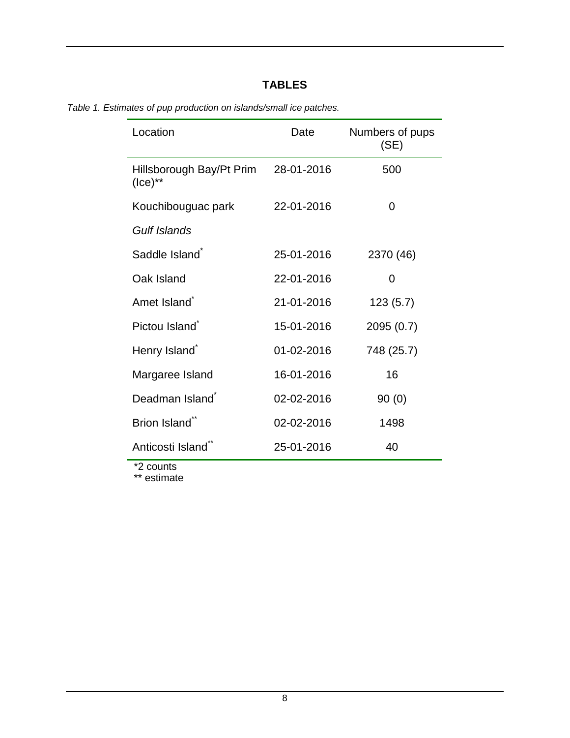# **TABLES**

| Location                                  | Date       | Numbers of pups<br>(SE) |
|-------------------------------------------|------------|-------------------------|
| Hillsborough Bay/Pt Prim<br>$($ ce $)$ ** | 28-01-2016 | 500                     |
| Kouchibouguac park                        | 22-01-2016 | 0                       |
| Gulf Islands                              |            |                         |
| Saddle Island <sup>*</sup>                | 25-01-2016 | 2370 (46)               |
| Oak Island                                | 22-01-2016 | 0                       |
| Amet Island <sup>*</sup>                  | 21-01-2016 | 123(5.7)                |
| Pictou Island <sup>*</sup>                | 15-01-2016 | 2095 (0.7)              |
| Henry Island <sup>®</sup>                 | 01-02-2016 | 748 (25.7)              |
| Margaree Island                           | 16-01-2016 | 16                      |
| Deadman Island <sup>*</sup>               | 02-02-2016 | 90(0)                   |
| Brion Island <sup>®</sup>                 | 02-02-2016 | 1498                    |
| Anticosti Island <sup>®</sup>             | 25-01-2016 | 40                      |

*Table 1. Estimates of pup production on islands/small ice patches.*

\*2 counts

\*\* estimate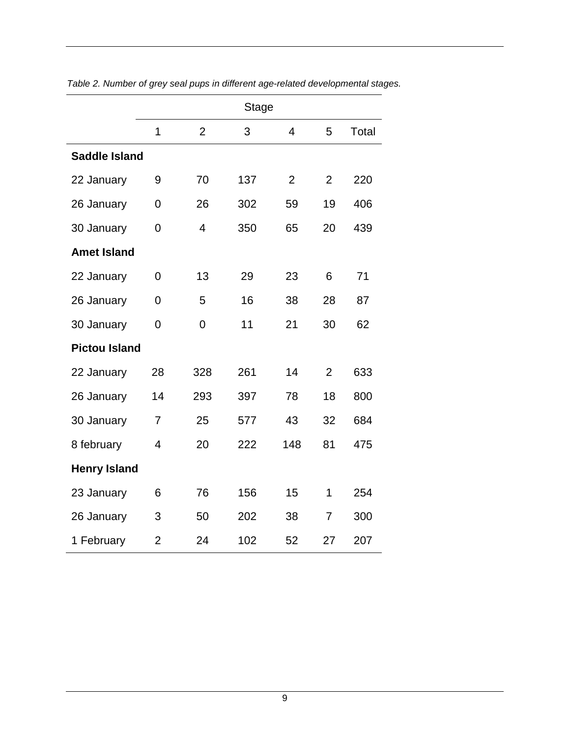|                      |                |                | <b>Stage</b> |                |                |       |
|----------------------|----------------|----------------|--------------|----------------|----------------|-------|
|                      | 1              | $\overline{2}$ | 3            | $\overline{4}$ | 5              | Total |
| <b>Saddle Island</b> |                |                |              |                |                |       |
| 22 January           | 9              | 70             | 137          | $\overline{2}$ | $\overline{2}$ | 220   |
| 26 January           | 0              | 26             | 302          | 59             | 19             | 406   |
| 30 January           | 0              | $\overline{4}$ | 350          | 65             | 20             | 439   |
| <b>Amet Island</b>   |                |                |              |                |                |       |
| 22 January           | 0              | 13             | 29           | 23             | 6              | 71    |
| 26 January           | $\overline{0}$ | 5              | 16           | 38             | 28             | 87    |
| 30 January           | 0              | 0              | 11           | 21             | 30             | 62    |
| <b>Pictou Island</b> |                |                |              |                |                |       |
| 22 January           | 28             | 328            | 261          | 14             | $\overline{2}$ | 633   |
| 26 January           | 14             | 293            | 397          | 78             | 18             | 800   |
| 30 January           | $\overline{7}$ | 25             | 577          | 43             | 32             | 684   |
| 8 february           | $\overline{4}$ | 20             | 222          | 148            | 81             | 475   |
| <b>Henry Island</b>  |                |                |              |                |                |       |
| 23 January           | 6              | 76             | 156          | 15             | 1              | 254   |
| 26 January           | 3              | 50             | 202          | 38             | $\overline{7}$ | 300   |
| 1 February           | $\overline{2}$ | 24             | 102          | 52             | 27             | 207   |

*Table 2. Number of grey seal pups in different age-related developmental stages.*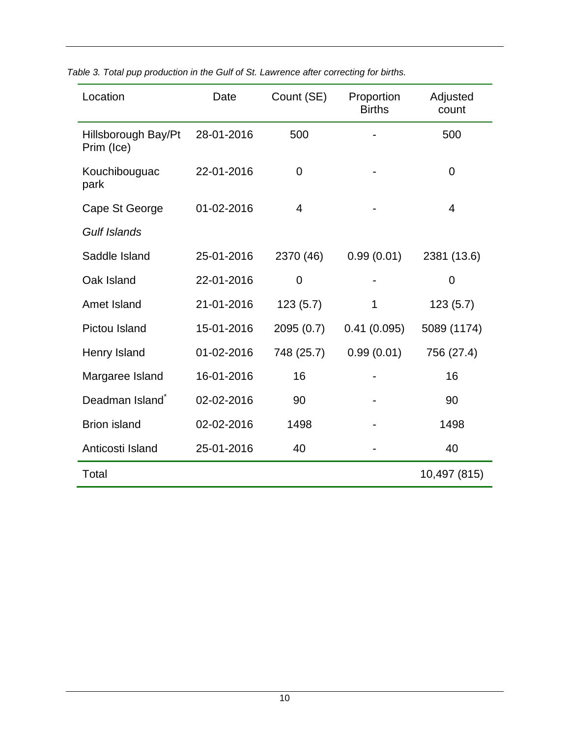| Location                          | Date       | Count (SE)     | Proportion<br><b>Births</b> | Adjusted<br>count |  |
|-----------------------------------|------------|----------------|-----------------------------|-------------------|--|
| Hillsborough Bay/Pt<br>Prim (Ice) | 28-01-2016 | 500            |                             | 500               |  |
| Kouchibouguac<br>park             | 22-01-2016 | $\overline{0}$ |                             | 0                 |  |
| Cape St George                    | 01-02-2016 | $\overline{4}$ |                             | $\overline{4}$    |  |
| <b>Gulf Islands</b>               |            |                |                             |                   |  |
| Saddle Island                     | 25-01-2016 | 2370 (46)      | 0.99(0.01)                  | 2381 (13.6)       |  |
| Oak Island                        | 22-01-2016 | 0              |                             | 0                 |  |
| Amet Island                       | 21-01-2016 | 123(5.7)       | 1                           | 123(5.7)          |  |
| Pictou Island                     | 15-01-2016 | 2095 (0.7)     | 0.41(0.095)                 | 5089 (1174)       |  |
| Henry Island                      | 01-02-2016 | 748 (25.7)     | 0.99(0.01)                  | 756 (27.4)        |  |
| Margaree Island                   | 16-01-2016 | 16             |                             | 16                |  |
| Deadman Island <sup>*</sup>       | 02-02-2016 | 90             |                             | 90                |  |
| <b>Brion island</b>               | 02-02-2016 | 1498           |                             | 1498              |  |
| Anticosti Island                  | 25-01-2016 | 40             |                             | 40                |  |
| Total                             |            |                |                             | 10,497 (815)      |  |

*Table 3. Total pup production in the Gulf of St. Lawrence after correcting for births.*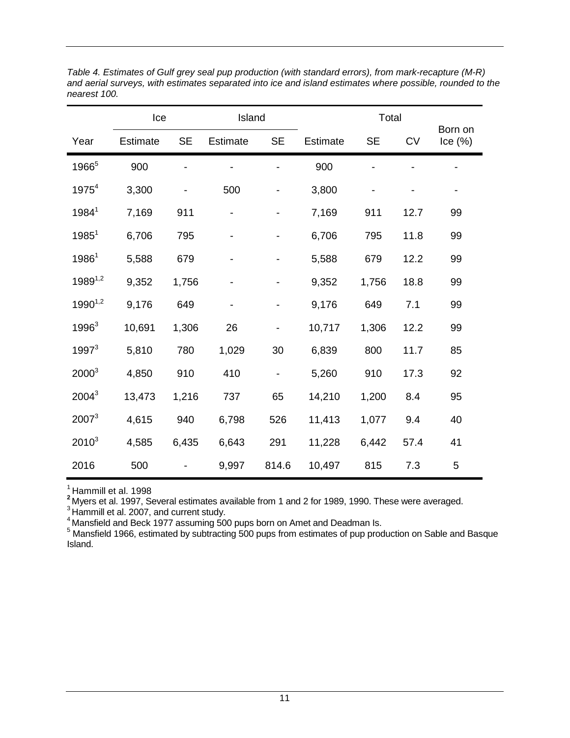|                   | Ice             |           | Island          |           |          | Total     |           |                         |
|-------------------|-----------------|-----------|-----------------|-----------|----------|-----------|-----------|-------------------------|
| Year              | <b>Estimate</b> | <b>SE</b> | <b>Estimate</b> | <b>SE</b> | Estimate | <b>SE</b> | <b>CV</b> | Born on<br>$lce$ $(\%)$ |
| 1966 <sup>5</sup> | 900             |           |                 |           | 900      |           |           |                         |
| $1975^{4}$        | 3,300           |           | 500             |           | 3,800    | -         |           | -                       |
| $1984^1$          | 7,169           | 911       |                 |           | 7,169    | 911       | 12.7      | 99                      |
| $1985^1$          | 6,706           | 795       |                 |           | 6,706    | 795       | 11.8      | 99                      |
| $1986^1$          | 5,588           | 679       |                 |           | 5,588    | 679       | 12.2      | 99                      |
| $1989^{1,2}$      | 9,352           | 1,756     |                 |           | 9,352    | 1,756     | 18.8      | 99                      |
| $1990^{1,2}$      | 9,176           | 649       |                 |           | 9,176    | 649       | 7.1       | 99                      |
| 1996 <sup>3</sup> | 10,691          | 1,306     | 26              |           | 10,717   | 1,306     | 12.2      | 99                      |
| $1997^3$          | 5,810           | 780       | 1,029           | 30        | 6,839    | 800       | 11.7      | 85                      |
| $2000^3$          | 4,850           | 910       | 410             | -         | 5,260    | 910       | 17.3      | 92                      |
| $2004^3$          | 13,473          | 1,216     | 737             | 65        | 14,210   | 1,200     | 8.4       | 95                      |
| $2007^3$          | 4,615           | 940       | 6,798           | 526       | 11,413   | 1,077     | 9.4       | 40                      |
| $2010^3$          | 4,585           | 6,435     | 6,643           | 291       | 11,228   | 6,442     | 57.4      | 41                      |
| 2016              | 500             |           | 9,997           | 814.6     | 10,497   | 815       | 7.3       | 5                       |

*Table 4. Estimates of Gulf grey seal pup production (with standard errors), from mark-recapture (M-R) and aerial surveys, with estimates separated into ice and island estimates where possible, rounded to the nearest 100.* 

<sup>1</sup> Hammill et al. 1998<br><sup>2</sup> Myers et al. 1997, Several estimates available from 1 and 2 for 1989, 1990. These were averaged.<br><sup>3</sup> Hammill et al. 2007, and current study.

 $^{4}_{2}$ Mansfield and Beck 1977 assuming 500 pups born on Amet and Deadman Is.

 $5$  Mansfield 1966, estimated by subtracting 500 pups from estimates of pup production on Sable and Basque Island.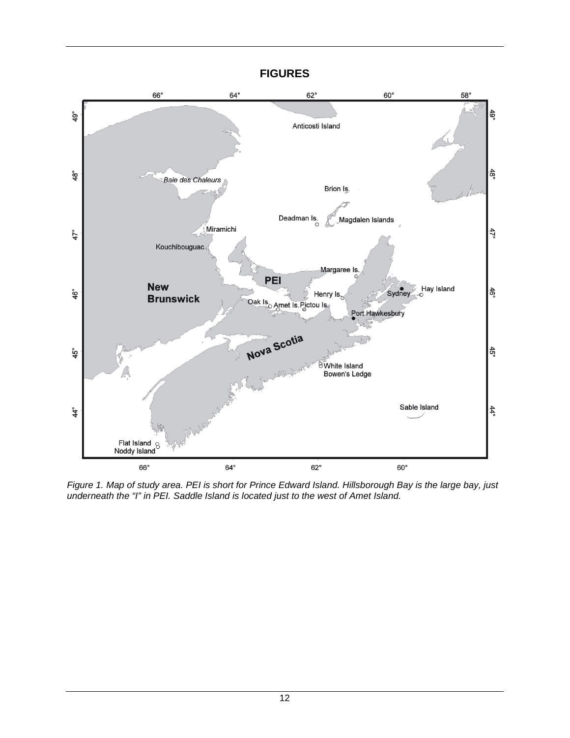#### **FIGURES**



*Figure 1. Map of study area. PEI is short for Prince Edward Island. Hillsborough Bay is the large bay, just underneath the "I" in PEI. Saddle Island is located just to the west of Amet Island.*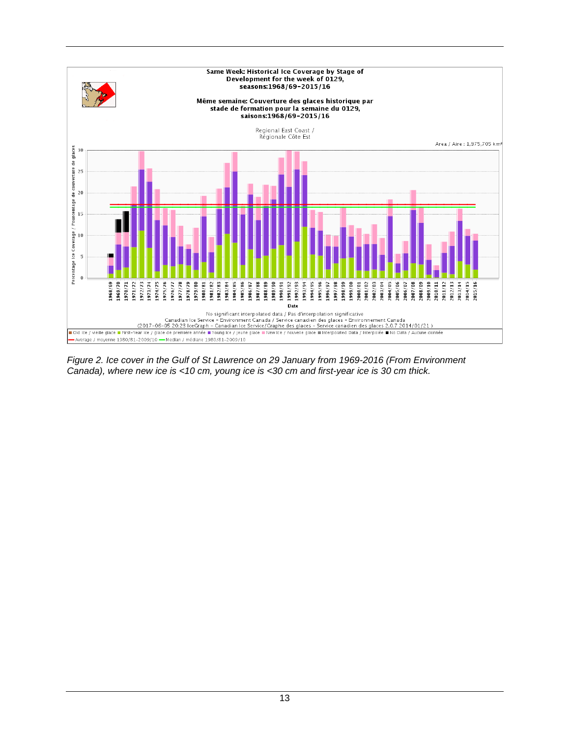

*Figure 2. Ice cover in the Gulf of St Lawrence on 29 January from 1969-2016 (From Environment Canada), where new ice is <10 cm, young ice is <30 cm and first-year ice is 30 cm thick.*